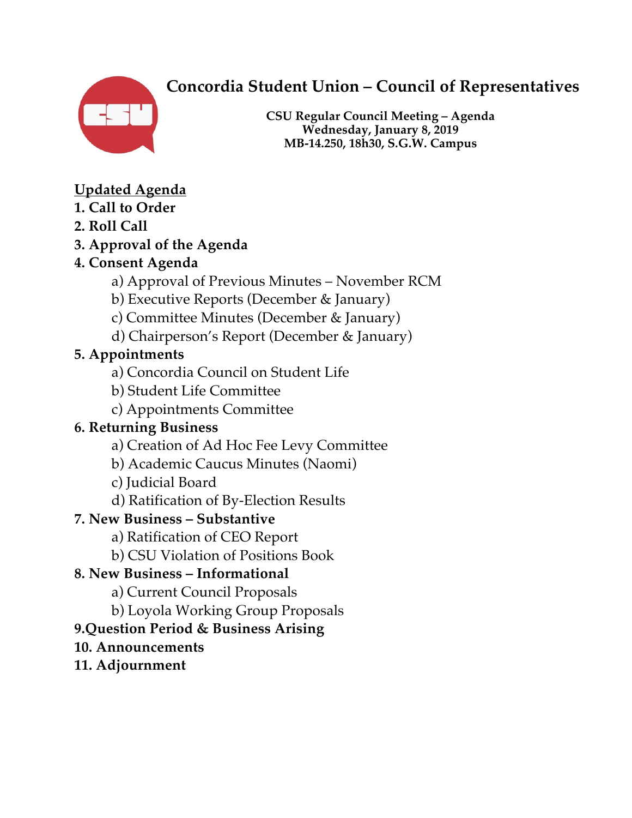# **Concordia Student Union – Council of Representatives**



**CSU Regular Council Meeting – Agenda Wednesday, January 8, 2019 MB-14.250, 18h30, S.G.W. Campus**

# **Updated Agenda**

- **1. Call to Order**
- **2. Roll Call**

# **3. Approval of the Agenda**

# **4. Consent Agenda**

- a) Approval of Previous Minutes November RCM
- b) Executive Reports (December & January)
- c) Committee Minutes (December & January)
- d) Chairperson's Report (December & January)

# **5. Appointments**

- a) Concordia Council on Student Life
- b) Student Life Committee
- c) Appointments Committee

# **6. Returning Business**

- a) Creation of Ad Hoc Fee Levy Committee
- b) Academic Caucus Minutes (Naomi)
- c) Judicial Board
- d) Ratification of By-Election Results

# **7. New Business – Substantive**

- a) Ratification of CEO Report
- b) CSU Violation of Positions Book

# **8. New Business – Informational**

- a) Current Council Proposals
- b) Loyola Working Group Proposals

# **9.Question Period & Business Arising**

# **10. Announcements**

# **11. Adjournment**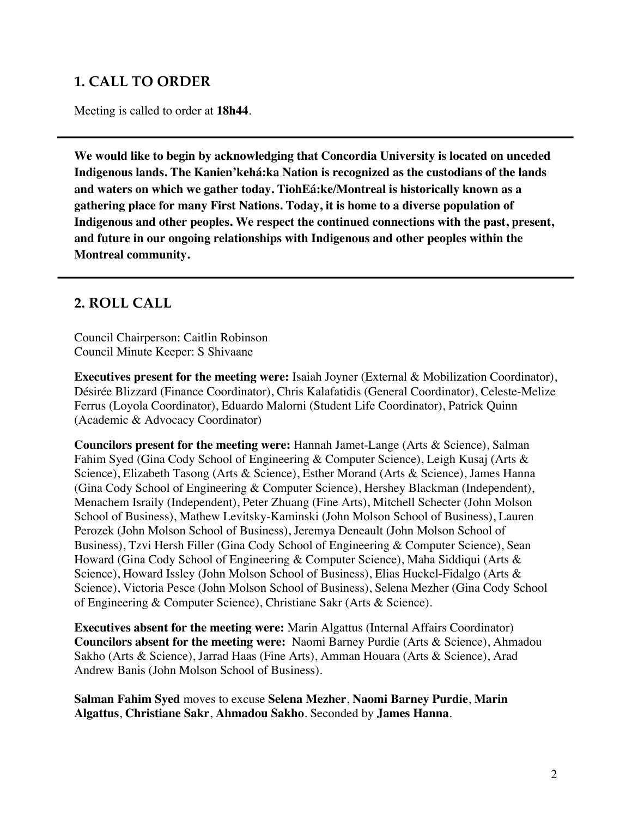## **1. CALL TO ORDER**

Meeting is called to order at **18h44**.

**We would like to begin by acknowledging that Concordia University is located on unceded Indigenous lands. The Kanien'kehá:ka Nation is recognized as the custodians of the lands and waters on which we gather today. TiohEá:ke/Montreal is historically known as a gathering place for many First Nations. Today, it is home to a diverse population of Indigenous and other peoples. We respect the continued connections with the past, present, and future in our ongoing relationships with Indigenous and other peoples within the Montreal community.**

### **2. ROLL CALL**

Council Chairperson: Caitlin Robinson Council Minute Keeper: S Shivaane

**Executives present for the meeting were:** Isaiah Joyner (External & Mobilization Coordinator), Désirée Blizzard (Finance Coordinator), Chris Kalafatidis (General Coordinator), Celeste-Melize Ferrus (Loyola Coordinator), Eduardo Malorni (Student Life Coordinator), Patrick Quinn (Academic & Advocacy Coordinator)

**Councilors present for the meeting were:** Hannah Jamet-Lange (Arts & Science), Salman Fahim Syed (Gina Cody School of Engineering & Computer Science), Leigh Kusaj (Arts & Science), Elizabeth Tasong (Arts & Science), Esther Morand (Arts & Science), James Hanna (Gina Cody School of Engineering & Computer Science), Hershey Blackman (Independent), Menachem Israily (Independent), Peter Zhuang (Fine Arts), Mitchell Schecter (John Molson School of Business), Mathew Levitsky-Kaminski (John Molson School of Business), Lauren Perozek (John Molson School of Business), Jeremya Deneault (John Molson School of Business), Tzvi Hersh Filler (Gina Cody School of Engineering & Computer Science), Sean Howard (Gina Cody School of Engineering & Computer Science), Maha Siddiqui (Arts & Science), Howard Issley (John Molson School of Business), Elias Huckel-Fidalgo (Arts & Science), Victoria Pesce (John Molson School of Business), Selena Mezher (Gina Cody School of Engineering & Computer Science), Christiane Sakr (Arts & Science).

**Executives absent for the meeting were:** Marin Algattus (Internal Affairs Coordinator) **Councilors absent for the meeting were:** Naomi Barney Purdie (Arts & Science), Ahmadou Sakho (Arts & Science), Jarrad Haas (Fine Arts), Amman Houara (Arts & Science), Arad Andrew Banis (John Molson School of Business).

**Salman Fahim Syed** moves to excuse **Selena Mezher**, **Naomi Barney Purdie**, **Marin Algattus**, **Christiane Sakr**, **Ahmadou Sakho**. Seconded by **James Hanna**.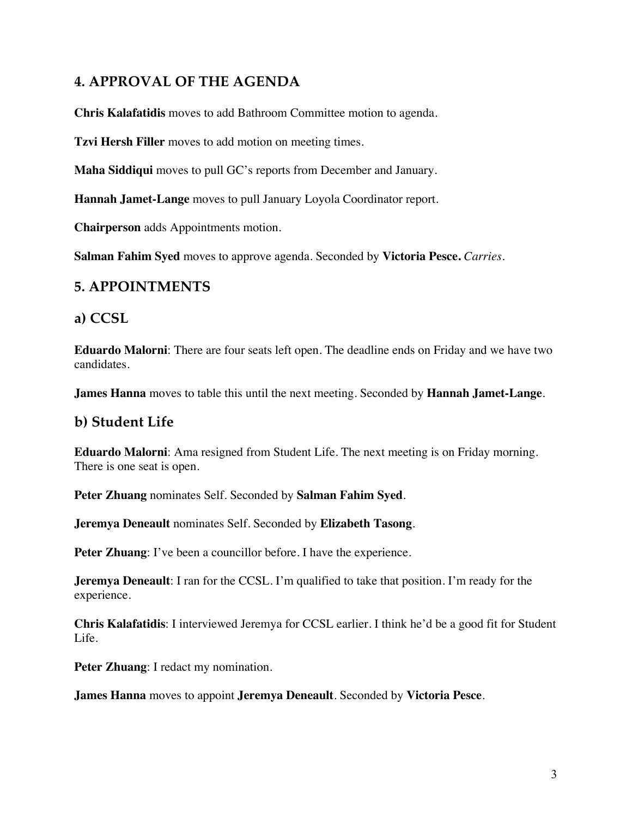# **4. APPROVAL OF THE AGENDA**

**Chris Kalafatidis** moves to add Bathroom Committee motion to agenda.

**Tzvi Hersh Filler** moves to add motion on meeting times.

**Maha Siddiqui** moves to pull GC's reports from December and January.

**Hannah Jamet-Lange** moves to pull January Loyola Coordinator report.

**Chairperson** adds Appointments motion.

**Salman Fahim Syed** moves to approve agenda. Seconded by **Victoria Pesce.** *Carries.*

### **5. APPOINTMENTS**

#### **a) CCSL**

**Eduardo Malorni**: There are four seats left open. The deadline ends on Friday and we have two candidates.

**James Hanna** moves to table this until the next meeting. Seconded by **Hannah Jamet-Lange**.

### **b) Student Life**

**Eduardo Malorni**: Ama resigned from Student Life. The next meeting is on Friday morning. There is one seat is open.

**Peter Zhuang** nominates Self. Seconded by **Salman Fahim Syed**.

**Jeremya Deneault** nominates Self. Seconded by **Elizabeth Tasong**.

**Peter Zhuang**: I've been a councillor before. I have the experience.

**Jeremya Deneault:** I ran for the CCSL. I'm qualified to take that position. I'm ready for the experience.

**Chris Kalafatidis**: I interviewed Jeremya for CCSL earlier. I think he'd be a good fit for Student Life.

**Peter Zhuang**: I redact my nomination.

**James Hanna** moves to appoint **Jeremya Deneault**. Seconded by **Victoria Pesce**.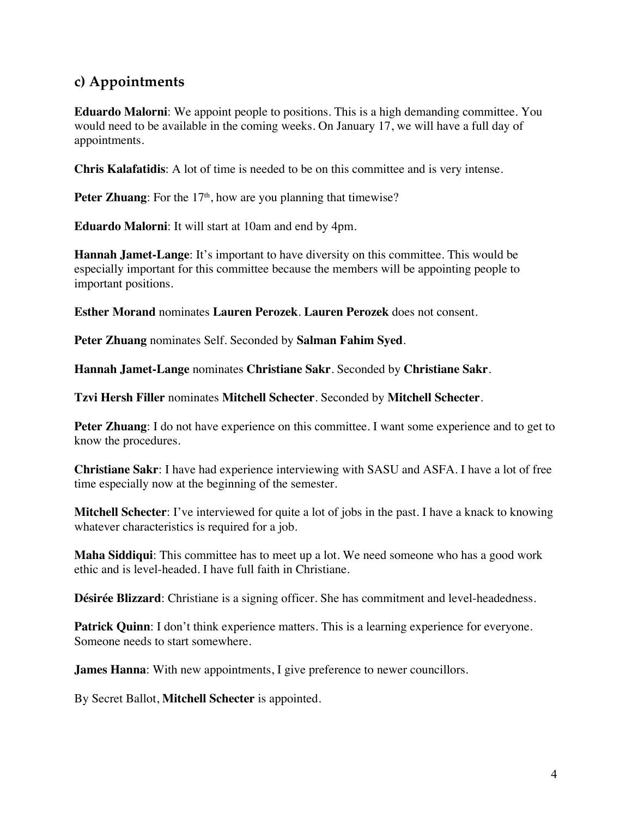## **c) Appointments**

**Eduardo Malorni**: We appoint people to positions. This is a high demanding committee. You would need to be available in the coming weeks. On January 17, we will have a full day of appointments.

**Chris Kalafatidis**: A lot of time is needed to be on this committee and is very intense.

**Peter Zhuang**: For the 17<sup>th</sup>, how are you planning that timewise?

**Eduardo Malorni**: It will start at 10am and end by 4pm.

**Hannah Jamet-Lange**: It's important to have diversity on this committee. This would be especially important for this committee because the members will be appointing people to important positions.

**Esther Morand** nominates **Lauren Perozek**. **Lauren Perozek** does not consent.

**Peter Zhuang** nominates Self. Seconded by **Salman Fahim Syed**.

**Hannah Jamet-Lange** nominates **Christiane Sakr**. Seconded by **Christiane Sakr**.

**Tzvi Hersh Filler** nominates **Mitchell Schecter**. Seconded by **Mitchell Schecter**.

**Peter Zhuang**: I do not have experience on this committee. I want some experience and to get to know the procedures.

**Christiane Sakr**: I have had experience interviewing with SASU and ASFA. I have a lot of free time especially now at the beginning of the semester.

**Mitchell Schecter**: I've interviewed for quite a lot of jobs in the past. I have a knack to knowing whatever characteristics is required for a job.

**Maha Siddiqui**: This committee has to meet up a lot. We need someone who has a good work ethic and is level-headed. I have full faith in Christiane.

**Désirée Blizzard**: Christiane is a signing officer. She has commitment and level-headedness.

**Patrick Quinn**: I don't think experience matters. This is a learning experience for everyone. Someone needs to start somewhere.

**James Hanna**: With new appointments, I give preference to newer councillors.

By Secret Ballot, **Mitchell Schecter** is appointed.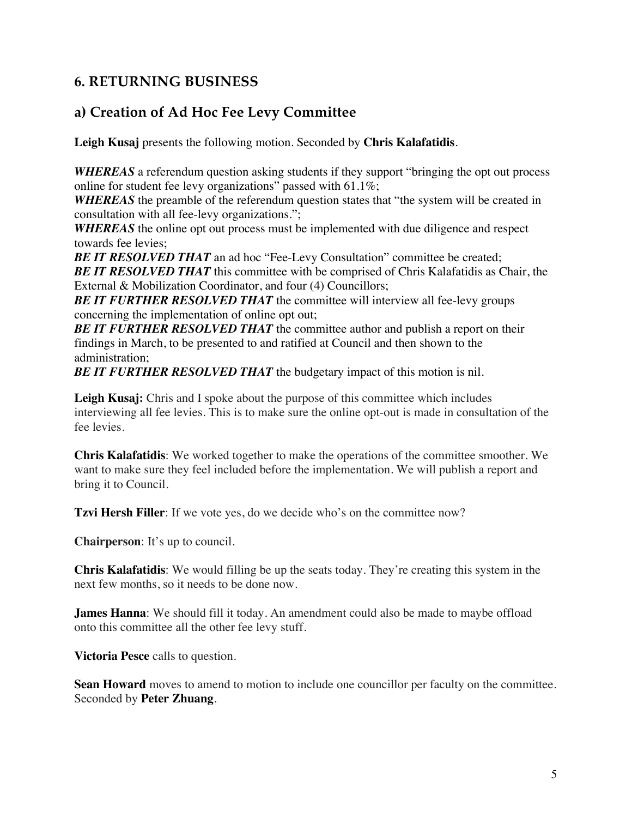## **6. RETURNING BUSINESS**

# **a) Creation of Ad Hoc Fee Levy Committee**

**Leigh Kusaj** presents the following motion. Seconded by **Chris Kalafatidis**.

*WHEREAS* a referendum question asking students if they support "bringing the opt out process online for student fee levy organizations" passed with 61.1%;

*WHEREAS* the preamble of the referendum question states that "the system will be created in consultation with all fee-levy organizations.";

*WHEREAS* the online opt out process must be implemented with due diligence and respect towards fee levies;

**BE IT RESOLVED THAT** an ad hoc "Fee-Levy Consultation" committee be created; **BE IT RESOLVED THAT** this committee with be comprised of Chris Kalafatidis as Chair, the External & Mobilization Coordinator, and four (4) Councillors:

**BE IT FURTHER RESOLVED THAT** the committee will interview all fee-levy groups concerning the implementation of online opt out;

**BE IT FURTHER RESOLVED THAT** the committee author and publish a report on their findings in March, to be presented to and ratified at Council and then shown to the administration;

**BE IT FURTHER RESOLVED THAT** the budgetary impact of this motion is nil.

**Leigh Kusaj:** Chris and I spoke about the purpose of this committee which includes interviewing all fee levies. This is to make sure the online opt-out is made in consultation of the fee levies.

**Chris Kalafatidis**: We worked together to make the operations of the committee smoother. We want to make sure they feel included before the implementation. We will publish a report and bring it to Council.

**Tzvi Hersh Filler**: If we vote yes, do we decide who's on the committee now?

**Chairperson**: It's up to council.

**Chris Kalafatidis**: We would filling be up the seats today. They're creating this system in the next few months, so it needs to be done now.

**James Hanna**: We should fill it today. An amendment could also be made to maybe offload onto this committee all the other fee levy stuff.

**Victoria Pesce** calls to question.

**Sean Howard** moves to amend to motion to include one councillor per faculty on the committee. Seconded by **Peter Zhuang**.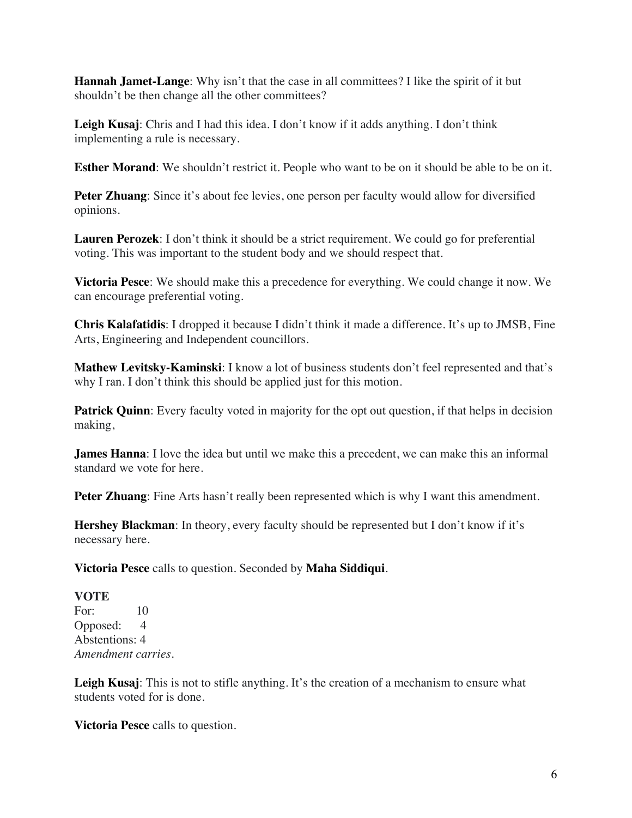**Hannah Jamet-Lange**: Why isn't that the case in all committees? I like the spirit of it but shouldn't be then change all the other committees?

**Leigh Kusaj**: Chris and I had this idea. I don't know if it adds anything. I don't think implementing a rule is necessary.

**Esther Morand:** We shouldn't restrict it. People who want to be on it should be able to be on it.

**Peter Zhuang**: Since it's about fee levies, one person per faculty would allow for diversified opinions.

**Lauren Perozek**: I don't think it should be a strict requirement. We could go for preferential voting. This was important to the student body and we should respect that.

**Victoria Pesce**: We should make this a precedence for everything. We could change it now. We can encourage preferential voting.

**Chris Kalafatidis**: I dropped it because I didn't think it made a difference. It's up to JMSB, Fine Arts, Engineering and Independent councillors.

**Mathew Levitsky-Kaminski**: I know a lot of business students don't feel represented and that's why I ran. I don't think this should be applied just for this motion.

**Patrick Quinn**: Every faculty voted in majority for the opt out question, if that helps in decision making,

**James Hanna**: I love the idea but until we make this a precedent, we can make this an informal standard we vote for here.

**Peter Zhuang**: Fine Arts hasn't really been represented which is why I want this amendment.

**Hershey Blackman**: In theory, every faculty should be represented but I don't know if it's necessary here.

**Victoria Pesce** calls to question. Seconded by **Maha Siddiqui**.

#### **VOTE**

For: 10 Opposed: 4 Abstentions: 4 *Amendment carries.*

Leigh Kusaj: This is not to stifle anything. It's the creation of a mechanism to ensure what students voted for is done.

**Victoria Pesce** calls to question.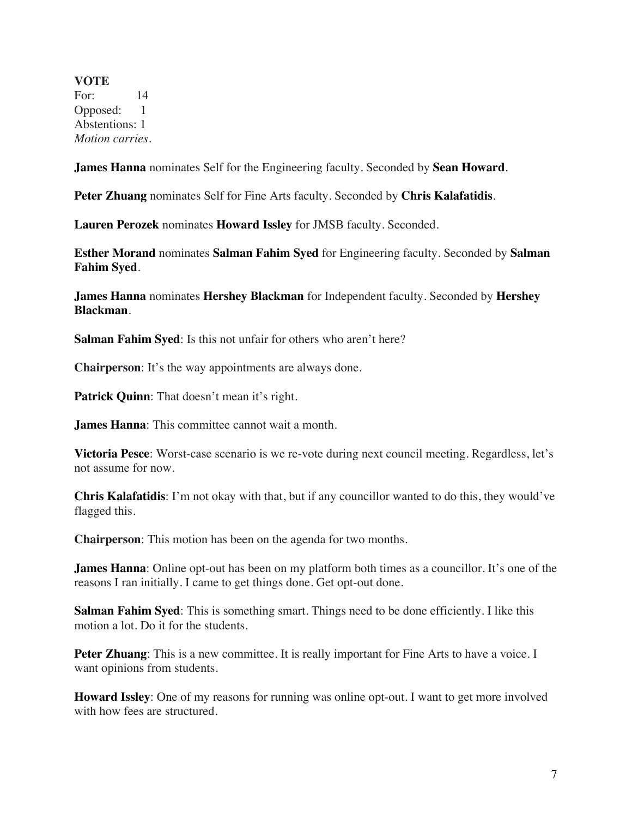**VOTE** For: 14 Opposed: 1 Abstentions: 1 *Motion carries.*

**James Hanna** nominates Self for the Engineering faculty. Seconded by **Sean Howard**.

**Peter Zhuang** nominates Self for Fine Arts faculty. Seconded by **Chris Kalafatidis**.

**Lauren Perozek** nominates **Howard Issley** for JMSB faculty. Seconded.

**Esther Morand** nominates **Salman Fahim Syed** for Engineering faculty. Seconded by **Salman Fahim Syed**.

**James Hanna** nominates **Hershey Blackman** for Independent faculty. Seconded by **Hershey Blackman**.

**Salman Fahim Syed**: Is this not unfair for others who aren't here?

**Chairperson**: It's the way appointments are always done.

Patrick Quinn: That doesn't mean it's right.

**James Hanna**: This committee cannot wait a month.

**Victoria Pesce**: Worst-case scenario is we re-vote during next council meeting. Regardless, let's not assume for now.

**Chris Kalafatidis**: I'm not okay with that, but if any councillor wanted to do this, they would've flagged this.

**Chairperson**: This motion has been on the agenda for two months.

**James Hanna**: Online opt-out has been on my platform both times as a councillor. It's one of the reasons I ran initially. I came to get things done. Get opt-out done.

**Salman Fahim Syed**: This is something smart. Things need to be done efficiently. I like this motion a lot. Do it for the students.

**Peter Zhuang**: This is a new committee. It is really important for Fine Arts to have a voice. I want opinions from students.

**Howard Issley**: One of my reasons for running was online opt-out. I want to get more involved with how fees are structured.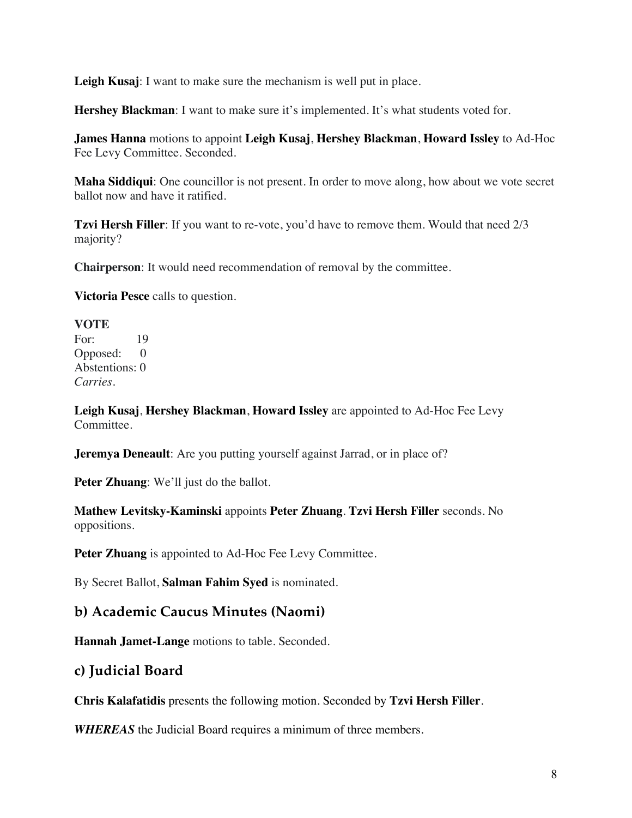**Leigh Kusaj**: I want to make sure the mechanism is well put in place.

**Hershey Blackman**: I want to make sure it's implemented. It's what students voted for.

**James Hanna** motions to appoint **Leigh Kusaj**, **Hershey Blackman**, **Howard Issley** to Ad-Hoc Fee Levy Committee. Seconded.

**Maha Siddiqui**: One councillor is not present. In order to move along, how about we vote secret ballot now and have it ratified.

**Tzvi Hersh Filler**: If you want to re-vote, you'd have to remove them. Would that need 2/3 majority?

**Chairperson**: It would need recommendation of removal by the committee.

**Victoria Pesce** calls to question.

**VOTE** For: 19 Opposed: 0 Abstentions: 0 *Carries.* 

**Leigh Kusaj**, **Hershey Blackman**, **Howard Issley** are appointed to Ad-Hoc Fee Levy Committee.

**Jeremya Deneault**: Are you putting yourself against Jarrad, or in place of?

**Peter Zhuang**: We'll just do the ballot.

**Mathew Levitsky-Kaminski** appoints **Peter Zhuang**. **Tzvi Hersh Filler** seconds. No oppositions.

Peter **Zhuang** is appointed to Ad-Hoc Fee Levy Committee.

By Secret Ballot, **Salman Fahim Syed** is nominated.

### **b) Academic Caucus Minutes (Naomi)**

**Hannah Jamet-Lange** motions to table. Seconded.

### **c) Judicial Board**

**Chris Kalafatidis** presents the following motion. Seconded by **Tzvi Hersh Filler**.

*WHEREAS* the Judicial Board requires a minimum of three members.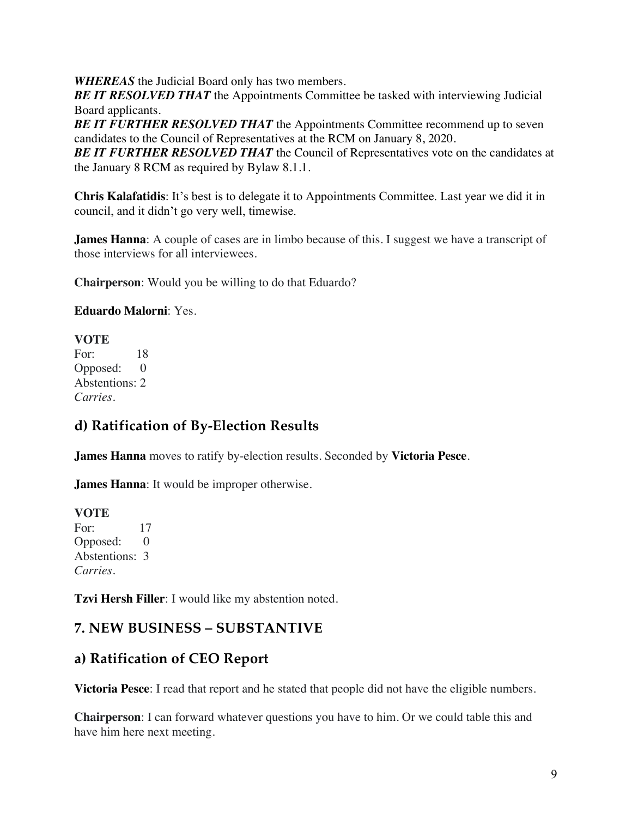*WHEREAS* the Judicial Board only has two members.

**BE IT RESOLVED THAT** the Appointments Committee be tasked with interviewing Judicial Board applicants.

**BE IT FURTHER RESOLVED THAT** the Appointments Committee recommend up to seven candidates to the Council of Representatives at the RCM on January 8, 2020.

*BE IT FURTHER RESOLVED THAT* the Council of Representatives vote on the candidates at the January 8 RCM as required by Bylaw 8.1.1.

**Chris Kalafatidis**: It's best is to delegate it to Appointments Committee. Last year we did it in council, and it didn't go very well, timewise.

**James Hanna**: A couple of cases are in limbo because of this. I suggest we have a transcript of those interviews for all interviewees.

**Chairperson**: Would you be willing to do that Eduardo?

#### **Eduardo Malorni**: Yes.

**VOTE** For: 18 Opposed: 0 Abstentions: 2 *Carries*.

### **d) Ratification of By-Election Results**

**James Hanna** moves to ratify by-election results. Seconded by **Victoria Pesce**.

**James Hanna**: It would be improper otherwise.

#### **VOTE**

For: 17 Opposed: 0 Abstentions: 3 *Carries.* 

**Tzvi Hersh Filler**: I would like my abstention noted.

### **7. NEW BUSINESS – SUBSTANTIVE**

### **a) Ratification of CEO Report**

**Victoria Pesce**: I read that report and he stated that people did not have the eligible numbers.

**Chairperson**: I can forward whatever questions you have to him. Or we could table this and have him here next meeting.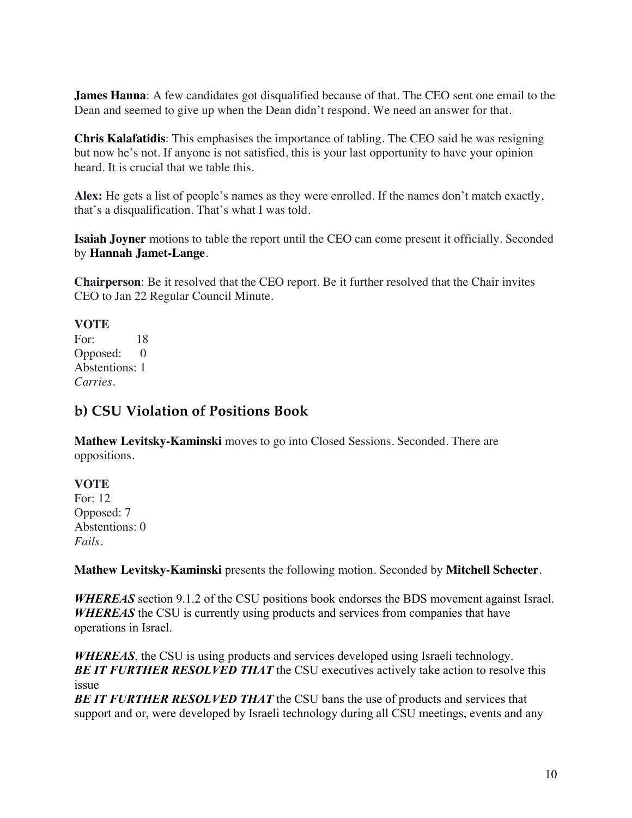**James Hanna**: A few candidates got disqualified because of that. The CEO sent one email to the Dean and seemed to give up when the Dean didn't respond. We need an answer for that.

**Chris Kalafatidis**: This emphasises the importance of tabling. The CEO said he was resigning but now he's not. If anyone is not satisfied, this is your last opportunity to have your opinion heard. It is crucial that we table this.

**Alex:** He gets a list of people's names as they were enrolled. If the names don't match exactly, that's a disqualification. That's what I was told.

**Isaiah Joyner** motions to table the report until the CEO can come present it officially. Seconded by **Hannah Jamet-Lange**.

**Chairperson**: Be it resolved that the CEO report. Be it further resolved that the Chair invites CEO to Jan 22 Regular Council Minute.

**VOTE** For: 18 Opposed: 0 Abstentions: 1 *Carries.* 

## **b) CSU Violation of Positions Book**

**Mathew Levitsky-Kaminski** moves to go into Closed Sessions. Seconded. There are oppositions.

#### **VOTE**

For: 12 Opposed: 7 Abstentions: 0 *Fails.*

**Mathew Levitsky-Kaminski** presents the following motion. Seconded by **Mitchell Schecter**.

*WHEREAS* section 9.1.2 of the CSU positions book endorses the BDS movement against Israel. *WHEREAS* the CSU is currently using products and services from companies that have operations in Israel.

*WHEREAS*, the CSU is using products and services developed using Israeli technology. **BE IT FURTHER RESOLVED THAT** the CSU executives actively take action to resolve this issue

**BE IT FURTHER RESOLVED THAT** the CSU bans the use of products and services that support and or, were developed by Israeli technology during all CSU meetings, events and any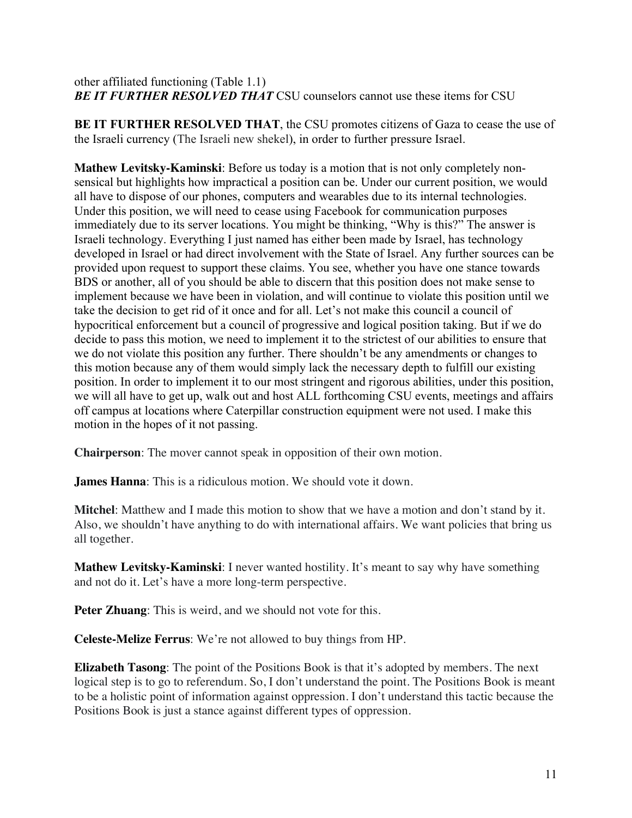#### other affiliated functioning (Table 1.1) *BE IT FURTHER RESOLVED THAT* CSU counselors cannot use these items for CSU

**BE IT FURTHER RESOLVED THAT**, the CSU promotes citizens of Gaza to cease the use of the Israeli currency (The Israeli new shekel), in order to further pressure Israel.

**Mathew Levitsky-Kaminski**: Before us today is a motion that is not only completely nonsensical but highlights how impractical a position can be. Under our current position, we would all have to dispose of our phones, computers and wearables due to its internal technologies. Under this position, we will need to cease using Facebook for communication purposes immediately due to its server locations. You might be thinking, "Why is this?" The answer is Israeli technology. Everything I just named has either been made by Israel, has technology developed in Israel or had direct involvement with the State of Israel. Any further sources can be provided upon request to support these claims. You see, whether you have one stance towards BDS or another, all of you should be able to discern that this position does not make sense to implement because we have been in violation, and will continue to violate this position until we take the decision to get rid of it once and for all. Let's not make this council a council of hypocritical enforcement but a council of progressive and logical position taking. But if we do decide to pass this motion, we need to implement it to the strictest of our abilities to ensure that we do not violate this position any further. There shouldn't be any amendments or changes to this motion because any of them would simply lack the necessary depth to fulfill our existing position. In order to implement it to our most stringent and rigorous abilities, under this position, we will all have to get up, walk out and host ALL forthcoming CSU events, meetings and affairs off campus at locations where Caterpillar construction equipment were not used. I make this motion in the hopes of it not passing.

**Chairperson**: The mover cannot speak in opposition of their own motion.

**James Hanna**: This is a ridiculous motion. We should vote it down.

**Mitchel**: Matthew and I made this motion to show that we have a motion and don't stand by it. Also, we shouldn't have anything to do with international affairs. We want policies that bring us all together.

**Mathew Levitsky-Kaminski**: I never wanted hostility. It's meant to say why have something and not do it. Let's have a more long-term perspective.

**Peter Zhuang**: This is weird, and we should not vote for this.

**Celeste-Melize Ferrus**: We're not allowed to buy things from HP.

**Elizabeth Tasong**: The point of the Positions Book is that it's adopted by members. The next logical step is to go to referendum. So, I don't understand the point. The Positions Book is meant to be a holistic point of information against oppression. I don't understand this tactic because the Positions Book is just a stance against different types of oppression.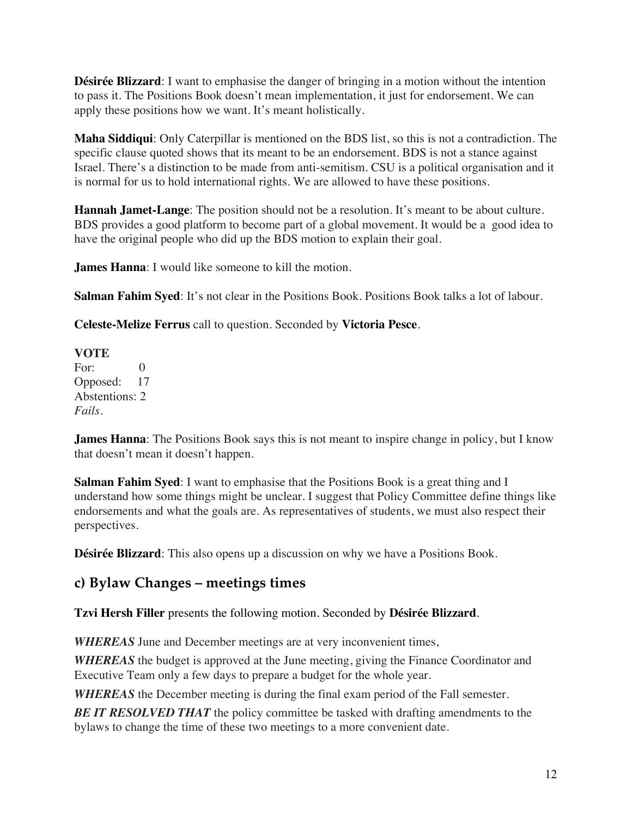**Désirée Blizzard**: I want to emphasise the danger of bringing in a motion without the intention to pass it. The Positions Book doesn't mean implementation, it just for endorsement. We can apply these positions how we want. It's meant holistically.

**Maha Siddiqui**: Only Caterpillar is mentioned on the BDS list, so this is not a contradiction. The specific clause quoted shows that its meant to be an endorsement. BDS is not a stance against Israel. There's a distinction to be made from anti-semitism. CSU is a political organisation and it is normal for us to hold international rights. We are allowed to have these positions.

**Hannah Jamet-Lange**: The position should not be a resolution. It's meant to be about culture. BDS provides a good platform to become part of a global movement. It would be a good idea to have the original people who did up the BDS motion to explain their goal.

**James Hanna**: I would like someone to kill the motion.

**Salman Fahim Syed:** It's not clear in the Positions Book. Positions Book talks a lot of labour.

**Celeste-Melize Ferrus** call to question. Seconded by **Victoria Pesce**.

### **VOTE**

For:  $\qquad \qquad 0$ Opposed: 17 Abstentions: 2 *Fails.* 

**James Hanna**: The Positions Book says this is not meant to inspire change in policy, but I know that doesn't mean it doesn't happen.

**Salman Fahim Syed:** I want to emphasise that the Positions Book is a great thing and I understand how some things might be unclear. I suggest that Policy Committee define things like endorsements and what the goals are. As representatives of students, we must also respect their perspectives.

**Désirée Blizzard**: This also opens up a discussion on why we have a Positions Book.

## **c) Bylaw Changes – meetings times**

### **Tzvi Hersh Filler** presents the following motion. Seconded by **Désirée Blizzard**.

*WHEREAS* June and December meetings are at very inconvenient times,

*WHEREAS* the budget is approved at the June meeting, giving the Finance Coordinator and Executive Team only a few days to prepare a budget for the whole year.

*WHEREAS* the December meeting is during the final exam period of the Fall semester.

**BE IT RESOLVED THAT** the policy committee be tasked with drafting amendments to the bylaws to change the time of these two meetings to a more convenient date.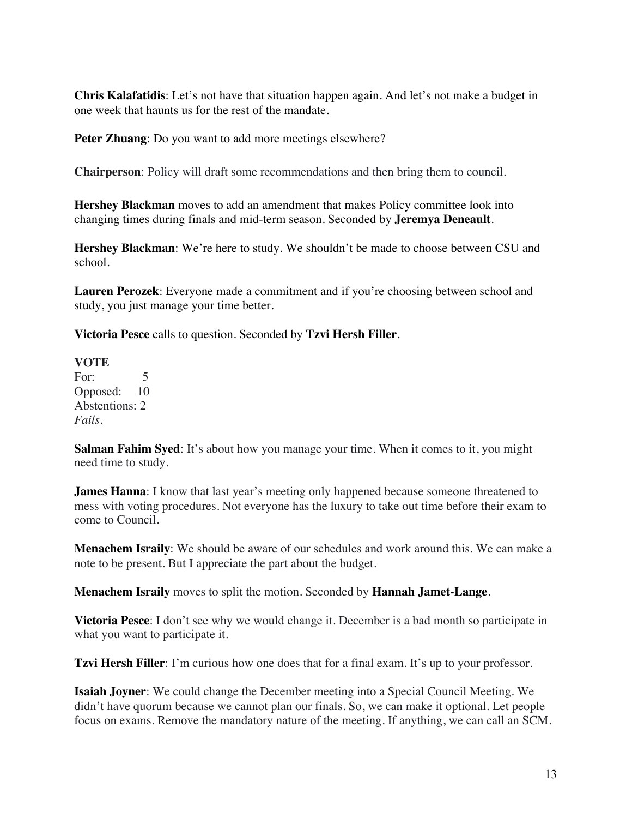**Chris Kalafatidis**: Let's not have that situation happen again. And let's not make a budget in one week that haunts us for the rest of the mandate.

**Peter Zhuang**: Do you want to add more meetings elsewhere?

**Chairperson**: Policy will draft some recommendations and then bring them to council.

**Hershey Blackman** moves to add an amendment that makes Policy committee look into changing times during finals and mid-term season. Seconded by **Jeremya Deneault**.

**Hershey Blackman**: We're here to study. We shouldn't be made to choose between CSU and school.

**Lauren Perozek**: Everyone made a commitment and if you're choosing between school and study, you just manage your time better.

**Victoria Pesce** calls to question. Seconded by **Tzvi Hersh Filler**.

#### **VOTE**

For: 5 Opposed: 10 Abstentions: 2 *Fails.*

**Salman Fahim Syed**: It's about how you manage your time. When it comes to it, you might need time to study.

**James Hanna**: I know that last year's meeting only happened because someone threatened to mess with voting procedures. Not everyone has the luxury to take out time before their exam to come to Council.

**Menachem Israily**: We should be aware of our schedules and work around this. We can make a note to be present. But I appreciate the part about the budget.

**Menachem Israily** moves to split the motion. Seconded by **Hannah Jamet-Lange**.

**Victoria Pesce**: I don't see why we would change it. December is a bad month so participate in what you want to participate it.

**Tzvi Hersh Filler**: I'm curious how one does that for a final exam. It's up to your professor.

**Isaiah Joyner**: We could change the December meeting into a Special Council Meeting. We didn't have quorum because we cannot plan our finals. So, we can make it optional. Let people focus on exams. Remove the mandatory nature of the meeting. If anything, we can call an SCM.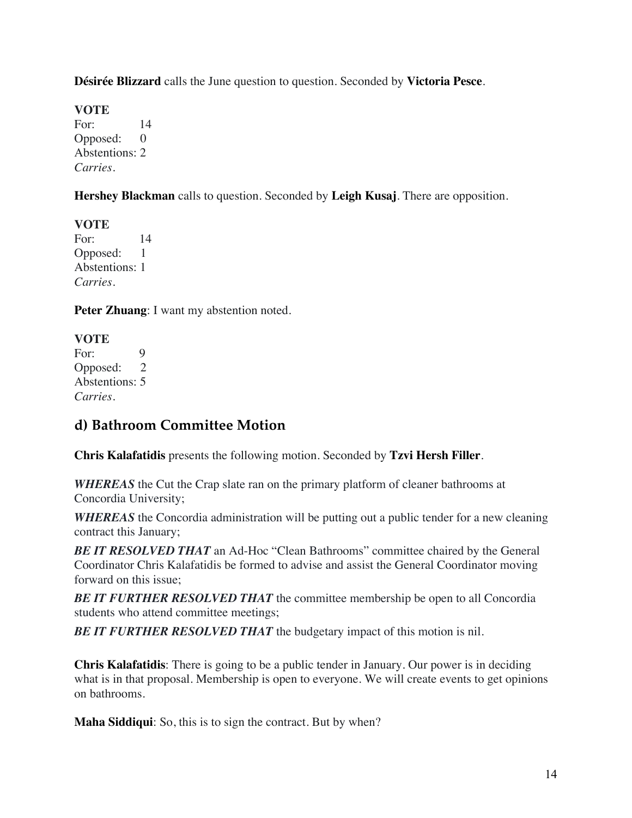**Désirée Blizzard** calls the June question to question. Seconded by **Victoria Pesce**.

**VOTE**

For: 14 Opposed: 0 Abstentions: 2 *Carries.* 

**Hershey Blackman** calls to question. Seconded by **Leigh Kusaj**. There are opposition.

**VOTE** For: 14 Opposed: 1 Abstentions: 1 *Carries.* 

**Peter Zhuang**: I want my abstention noted.

#### **VOTE** For: 9 Opposed: 2

Abstentions: 5 *Carries.* 

# **d) Bathroom Committee Motion**

**Chris Kalafatidis** presents the following motion. Seconded by **Tzvi Hersh Filler**.

*WHEREAS* the Cut the Crap slate ran on the primary platform of cleaner bathrooms at Concordia University;

*WHEREAS* the Concordia administration will be putting out a public tender for a new cleaning contract this January;

*BE IT RESOLVED THAT* an Ad-Hoc "Clean Bathrooms" committee chaired by the General Coordinator Chris Kalafatidis be formed to advise and assist the General Coordinator moving forward on this issue;

**BE IT FURTHER RESOLVED THAT** the committee membership be open to all Concordia students who attend committee meetings;

**BE IT FURTHER RESOLVED THAT** the budgetary impact of this motion is nil.

**Chris Kalafatidis**: There is going to be a public tender in January. Our power is in deciding what is in that proposal. Membership is open to everyone. We will create events to get opinions on bathrooms.

**Maha Siddiqui**: So, this is to sign the contract. But by when?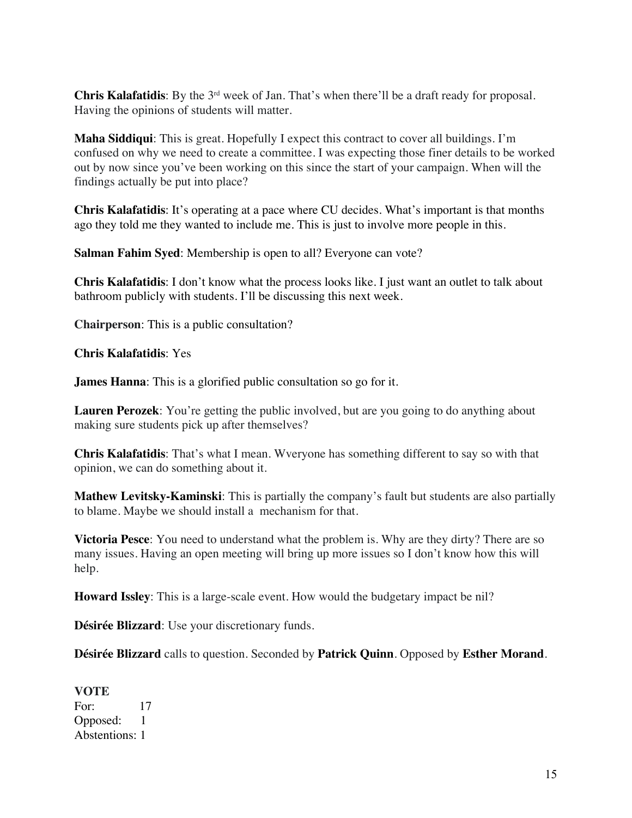**Chris Kalafatidis**: By the 3rd week of Jan. That's when there'll be a draft ready for proposal. Having the opinions of students will matter.

**Maha Siddiqui**: This is great. Hopefully I expect this contract to cover all buildings. I'm confused on why we need to create a committee. I was expecting those finer details to be worked out by now since you've been working on this since the start of your campaign. When will the findings actually be put into place?

**Chris Kalafatidis**: It's operating at a pace where CU decides. What's important is that months ago they told me they wanted to include me. This is just to involve more people in this.

**Salman Fahim Syed**: Membership is open to all? Everyone can vote?

**Chris Kalafatidis**: I don't know what the process looks like. I just want an outlet to talk about bathroom publicly with students. I'll be discussing this next week.

**Chairperson**: This is a public consultation?

**Chris Kalafatidis**: Yes

**James Hanna**: This is a glorified public consultation so go for it.

**Lauren Perozek:** You're getting the public involved, but are you going to do anything about making sure students pick up after themselves?

**Chris Kalafatidis**: That's what I mean. Wveryone has something different to say so with that opinion, we can do something about it.

**Mathew Levitsky-Kaminski**: This is partially the company's fault but students are also partially to blame. Maybe we should install a mechanism for that.

**Victoria Pesce**: You need to understand what the problem is. Why are they dirty? There are so many issues. Having an open meeting will bring up more issues so I don't know how this will help.

**Howard Issley**: This is a large-scale event. How would the budgetary impact be nil?

**Désirée Blizzard**: Use your discretionary funds.

**Désirée Blizzard** calls to question. Seconded by **Patrick Quinn**. Opposed by **Esther Morand**.

#### **VOTE**

For: 17 Opposed: 1 Abstentions: 1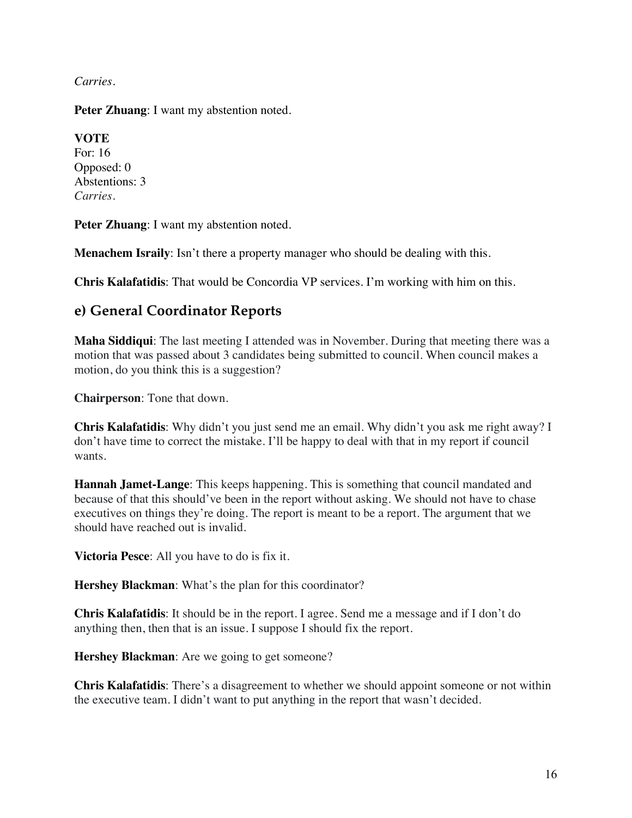*Carries.* 

**Peter Zhuang**: I want my abstention noted.

### **VOTE**

For: 16 Opposed: 0 Abstentions: 3 *Carries.* 

**Peter Zhuang**: I want my abstention noted.

**Menachem Israily**: Isn't there a property manager who should be dealing with this.

**Chris Kalafatidis**: That would be Concordia VP services. I'm working with him on this.

## **e) General Coordinator Reports**

**Maha Siddiqui**: The last meeting I attended was in November. During that meeting there was a motion that was passed about 3 candidates being submitted to council. When council makes a motion, do you think this is a suggestion?

**Chairperson**: Tone that down.

**Chris Kalafatidis**: Why didn't you just send me an email. Why didn't you ask me right away? I don't have time to correct the mistake. I'll be happy to deal with that in my report if council wants.

**Hannah Jamet-Lange**: This keeps happening. This is something that council mandated and because of that this should've been in the report without asking. We should not have to chase executives on things they're doing. The report is meant to be a report. The argument that we should have reached out is invalid.

**Victoria Pesce**: All you have to do is fix it.

**Hershey Blackman**: What's the plan for this coordinator?

**Chris Kalafatidis**: It should be in the report. I agree. Send me a message and if I don't do anything then, then that is an issue. I suppose I should fix the report.

**Hershey Blackman**: Are we going to get someone?

**Chris Kalafatidis**: There's a disagreement to whether we should appoint someone or not within the executive team. I didn't want to put anything in the report that wasn't decided.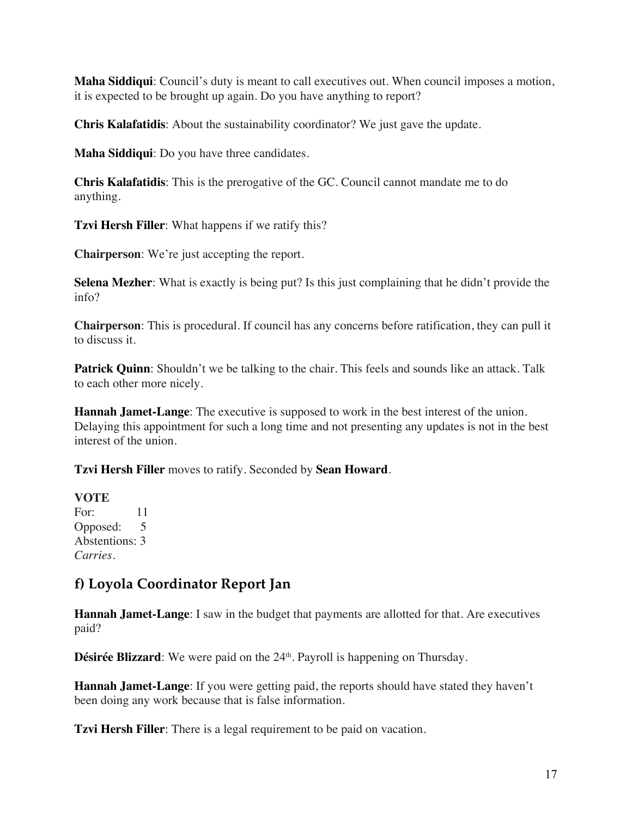**Maha Siddiqui**: Council's duty is meant to call executives out. When council imposes a motion, it is expected to be brought up again. Do you have anything to report?

**Chris Kalafatidis**: About the sustainability coordinator? We just gave the update.

**Maha Siddiqui**: Do you have three candidates.

**Chris Kalafatidis**: This is the prerogative of the GC. Council cannot mandate me to do anything.

**Tzvi Hersh Filler**: What happens if we ratify this?

**Chairperson**: We're just accepting the report.

**Selena Mezher**: What is exactly is being put? Is this just complaining that he didn't provide the info?

**Chairperson**: This is procedural. If council has any concerns before ratification, they can pull it to discuss it.

**Patrick Quinn:** Shouldn't we be talking to the chair. This feels and sounds like an attack. Talk to each other more nicely.

**Hannah Jamet-Lange**: The executive is supposed to work in the best interest of the union. Delaying this appointment for such a long time and not presenting any updates is not in the best interest of the union.

**Tzvi Hersh Filler** moves to ratify. Seconded by **Sean Howard**.

#### **VOTE**

For: 11 Opposed: 5 Abstentions: 3 *Carries.* 

## **f) Loyola Coordinator Report Jan**

**Hannah Jamet-Lange:** I saw in the budget that payments are allotted for that. Are executives paid?

**Désirée Blizzard**: We were paid on the 24<sup>th</sup>. Payroll is happening on Thursday.

**Hannah Jamet-Lange**: If you were getting paid, the reports should have stated they haven't been doing any work because that is false information.

**Tzvi Hersh Filler**: There is a legal requirement to be paid on vacation.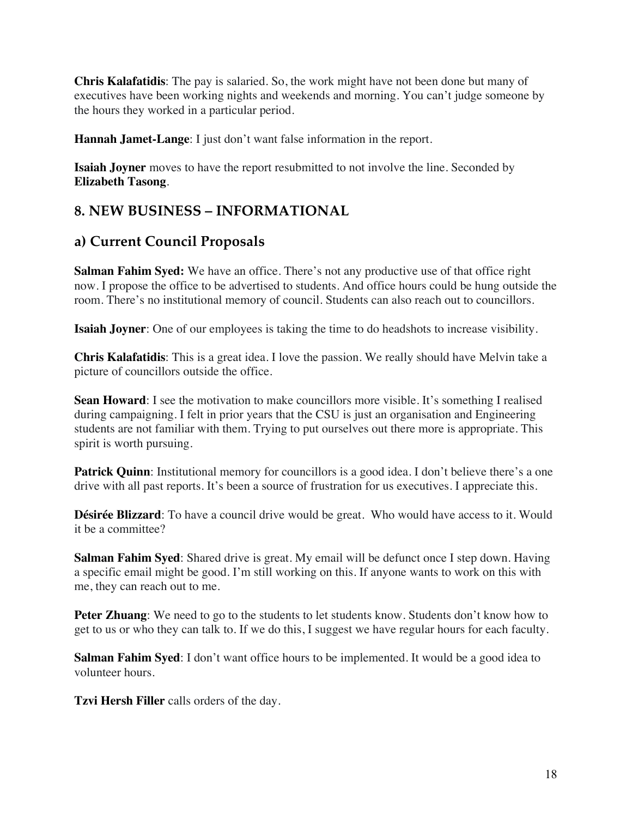**Chris Kalafatidis**: The pay is salaried. So, the work might have not been done but many of executives have been working nights and weekends and morning. You can't judge someone by the hours they worked in a particular period.

**Hannah Jamet-Lange**: I just don't want false information in the report.

**Isaiah Joyner** moves to have the report resubmitted to not involve the line. Seconded by **Elizabeth Tasong**.

## **8. NEW BUSINESS – INFORMATIONAL**

## **a) Current Council Proposals**

**Salman Fahim Syed:** We have an office. There's not any productive use of that office right now. I propose the office to be advertised to students. And office hours could be hung outside the room. There's no institutional memory of council. Students can also reach out to councillors.

**Isaiah Joyner**: One of our employees is taking the time to do headshots to increase visibility.

**Chris Kalafatidis**: This is a great idea. I love the passion. We really should have Melvin take a picture of councillors outside the office.

**Sean Howard:** I see the motivation to make councillors more visible. It's something I realised during campaigning. I felt in prior years that the CSU is just an organisation and Engineering students are not familiar with them. Trying to put ourselves out there more is appropriate. This spirit is worth pursuing.

**Patrick Quinn**: Institutional memory for councillors is a good idea. I don't believe there's a one drive with all past reports. It's been a source of frustration for us executives. I appreciate this.

**Désirée Blizzard**: To have a council drive would be great. Who would have access to it. Would it be a committee?

**Salman Fahim Syed**: Shared drive is great. My email will be defunct once I step down. Having a specific email might be good. I'm still working on this. If anyone wants to work on this with me, they can reach out to me.

**Peter Zhuang**: We need to go to the students to let students know. Students don't know how to get to us or who they can talk to. If we do this, I suggest we have regular hours for each faculty.

**Salman Fahim Syed**: I don't want office hours to be implemented. It would be a good idea to volunteer hours.

**Tzvi Hersh Filler** calls orders of the day.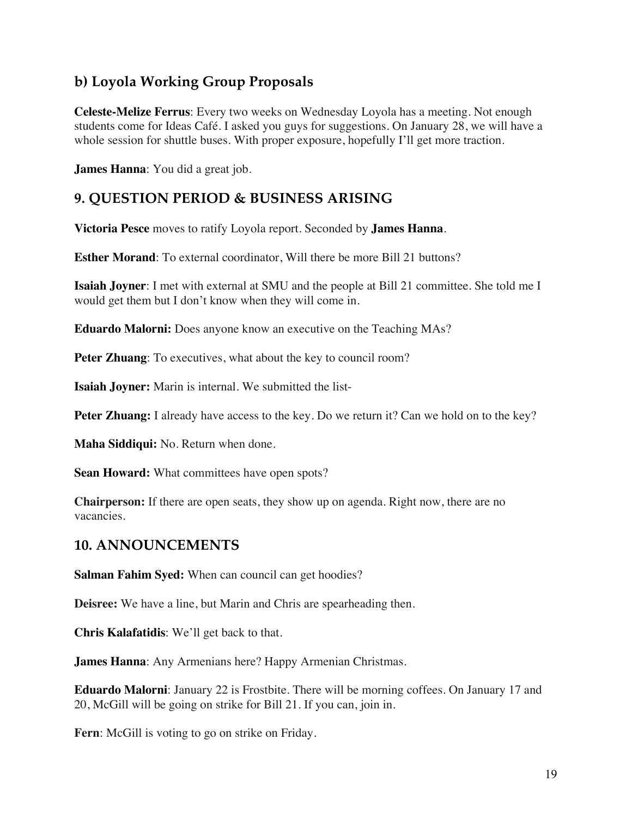## **b) Loyola Working Group Proposals**

**Celeste-Melize Ferrus**: Every two weeks on Wednesday Loyola has a meeting. Not enough students come for Ideas Café. I asked you guys for suggestions. On January 28, we will have a whole session for shuttle buses. With proper exposure, hopefully I'll get more traction.

**James Hanna**: You did a great job.

## **9. QUESTION PERIOD & BUSINESS ARISING**

**Victoria Pesce** moves to ratify Loyola report. Seconded by **James Hanna**.

**Esther Morand:** To external coordinator, Will there be more Bill 21 buttons?

**Isaiah Joyner**: I met with external at SMU and the people at Bill 21 committee. She told me I would get them but I don't know when they will come in.

**Eduardo Malorni:** Does anyone know an executive on the Teaching MAs?

**Peter Zhuang:** To executives, what about the key to council room?

**Isaiah Joyner:** Marin is internal. We submitted the list-

**Peter Zhuang:** I already have access to the key. Do we return it? Can we hold on to the key?

**Maha Siddiqui:** No. Return when done.

**Sean Howard:** What committees have open spots?

**Chairperson:** If there are open seats, they show up on agenda. Right now, there are no vacancies.

### **10. ANNOUNCEMENTS**

**Salman Fahim Syed:** When can council can get hoodies?

**Deisree:** We have a line, but Marin and Chris are spearheading then.

**Chris Kalafatidis**: We'll get back to that.

**James Hanna**: Any Armenians here? Happy Armenian Christmas.

**Eduardo Malorni**: January 22 is Frostbite. There will be morning coffees. On January 17 and 20, McGill will be going on strike for Bill 21. If you can, join in.

**Fern**: McGill is voting to go on strike on Friday.